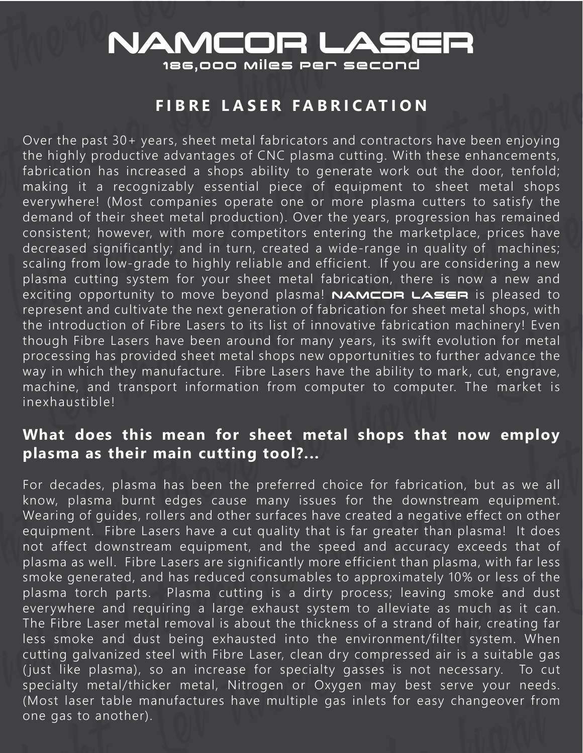# NAMCOR LASER 186,000 Miles Per Second

# **FIBRE LASER FABRICATION**

Over the past 30+ years, sheet metal fabricators and contractors have been enjoying the highly productive advantages of CNC plasma cutting. With these enhancements, fabrication has increased a shops ability to generate work out the door, tenfold; making it a recognizably essential piece of equipment to sheet metal shops everywhere! (Most companies operate one or more plasma cutters to satisfy the demand of their sheet metal production). Over the years, progression has remained consistent; however, with more competitors entering the marketplace, prices have decreased significantly; and in turn, created a wide-range in quality of machines; scaling from low-grade to highly reliable and efficient. If you are considering a new plasma cutting system for your sheet metal fabrication, there is now a new and exciting opportunity to move beyond plasma! NAMCOR LASER is pleased to represent and cultivate the next generation of fabrication for sheet metal shops, with the introduction of Fibre Lasers to its list of innovative fabrication machinery! Even though Fibre Lasers have been around for many years, its swift evolution for metal processing has provided sheet metal shops new opportunities to further advance the way in which they manufacture. Fibre Lasers have the ability to mark, cut, engrave, machine, and transport information from computer to computer. The market is inexhaustible!

# **What does this mean for sheet metal shops that now employ plasma as their main cutting tool?...**

For decades, plasma has been the preferred choice for fabrication, but as we all know, plasma burnt edges cause many issues for the downstream equipment. Wearing of guides, rollers and other surfaces have created a negative effect on other equipment. Fibre Lasers have a cut quality that is far greater than plasma! It does not affect downstream equipment, and the speed and accuracy exceeds that of plasma as well. Fibre Lasers are significantly more efficient than plasma, with far less smoke generated, and has reduced consumables to approximately 10% or less of the plasma torch parts. Plasma cutting is a dirty process; leaving smoke and dust everywhere and requiring a large exhaust system to alleviate as much as it can. The Fibre Laser metal removal is about the thickness of a strand of hair, creating far less smoke and dust being exhausted into the environment/filter system. When cutting galvanized steel with Fibre Laser, clean dry compressed air is a suitable gas ( just like plasma), so an increase for specialty gasses is not necessary. To cut specialty metal/thicker metal, Nitrogen or Oxygen may best serve your needs. (Most laser table manufactures have multiple gas inlets for easy changeover from one gas to another).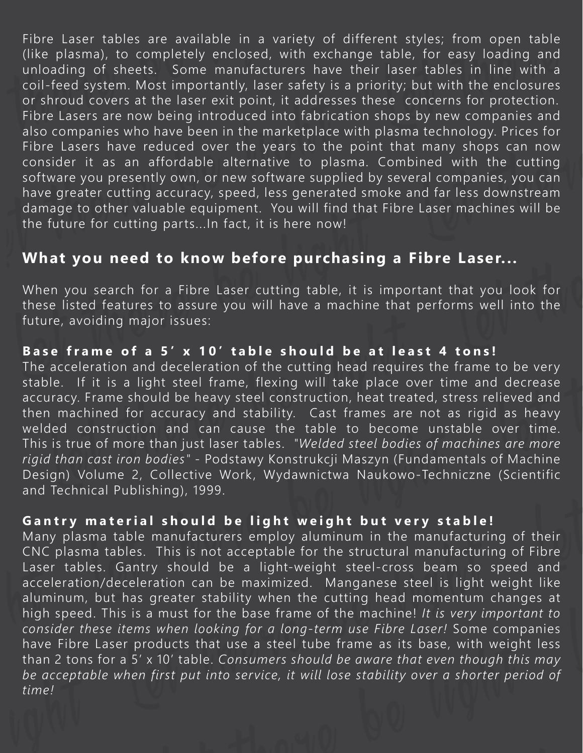Fibre Laser tables are available in a variety of different styles; from open table (like plasma), to completely enclosed, with exchange table, for easy loading and unloading of sheets. Some manufacturers have their laser tables in line with a coil-feed system. Most importantly, laser safety is a priority; but with the enclosures or shroud covers at the laser exit point, it addresses these concerns for protection. Fibre Lasers are now being introduced into fabrication shops by new companies and also companies who have been in the marketplace with plasma technology. Prices for Fibre Lasers have reduced over the years to the point that many shops can now consider it as an affordable alternative to plasma. Combined with the cutting software you presently own, or new software supplied by several companies, you can have greater cutting accuracy, speed, less generated smoke and far less downstream damage to other valuable equipment. You will find that Fibre Laser machines will be the future for cutting parts...In fact, it is here now!

### **What you need to know before purchasing a Fibre Laser...**

When you search for a Fibre Laser cutting table, it is important that you look for these listed features to assure you will have a machine that performs well into the future, avoiding major issues:

#### **Base frame of a 5' x 10' table should be at least 4 tons!**

The acceleration and deceleration of the cutting head requires the frame to be very stable. If it is a light steel frame, flexing will take place over time and decrease accuracy. Frame should be heavy steel construction, heat treated, stress relieved and then machined for accuracy and stability. Cast frames are not as rigid as heavy welded construction and can cause the table to become unstable over time. This is true of more than just laser tables. *"Welded steel bodies of machines are more rigid than cast iron bodies"* - Podstawy Konstrukcji Maszyn (Fundamentals of Machine Design) Volume 2, Collective Work, Wydawnictwa Naukowo-Techniczne (Scientific and Technical Publishing), 1999.

#### **Gantry material should be light weight but very stable!**

Many plasma table manufacturers employ aluminum in the manufacturing of their CNC plasma tables. This is not acceptable for the structural manufacturing of Fibre Laser tables. Gantry should be a light-weight steel-cross beam so speed and acceleration/deceleration can be maximized. Manganese steel is light weight like aluminum, but has greater stability when the cutting head momentum changes at high speed. This is a must for the base frame of the machine! *It is very important to consider these items when looking for a long-term use Fibre Laser!* Some companies have Fibre Laser products that use a steel tube frame as its base, with weight less than 2 tons for a 5' x 10' table. *Consumers should be aware that even though this may be acceptable when first put into service, it will lose stability over a shorter period of time!*